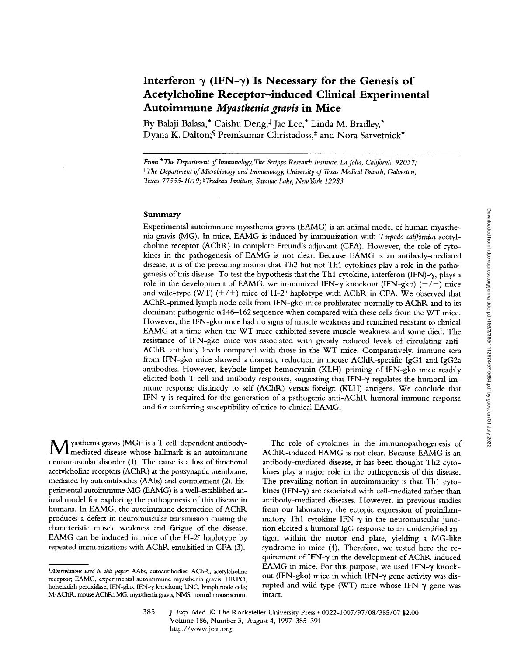# Interferon  $\gamma$  (IFN- $\gamma$ ) Is Necessary for the Genesis of **Acetylcholine Receptor-induced Clinical Experimental Autoimmune** *Myasthenia gravis* **in Mice**

By Balaji Balasa,\* Caishu Deng,<sup>‡</sup> Jae Lee,\* Linda M. Bradley,\* Dyana K. Dalton;<sup>§</sup> Premkumar Christadoss,<sup>‡</sup> and Nora Sarvetnick<sup>\*</sup>

*From \*The Department of Immunology, The Scripps Research Institute, La Jolla, California 92037; \*The Department of Microbiology and Immunology, University of Texas Medical Branch, Galveston, Texas 77555-1019; ~Trudeau Institute, Saranac Lake, New York 12983* 

## **Summary**

Experimental autoimmune myasthenia gravis (EAMG) is an animal model of human myasthenia gravis (MG). In mice, EAMG is induced by immunization with *Torpedo californica* acetylcholine receptor (AChK) in complete Freund's adjuvant (CFA). However, the role of cytokines in the pathogenesis of EAMG is not clear. Because EAMG is an antibody-mediated disease, it is of the prevailing notion that Th2 but not Thl cytokines play a role in the pathogenesis of this disease. To test the hypothesis that the Th1 cytokine, interferon (IFN)- $\gamma$ , plays a role in the development of EAMG, we immunized IFN- $\gamma$  knockout (IFN-gko) (-/-) mice and wild-type (WT)  $(+/+)$  mice of H-2<sup>b</sup> haplotype with AChR in CFA. We observed that AChR-primed lymph node cells from IFN-gko mice proliferated normally to AChR and to its dominant pathogenic  $\alpha$ 146-162 sequence when compared with these cells from the WT mice. However, the IFN-gko mice had no signs of muscle weakness and remained resistant to clinical EAMG at a time when the WT mice exhibited severe muscle weakness and some died. The resistance of IFN-gko mice was associated with greatly reduced levels of circulating anti-AChR antibody levels compared with those in the WT mice. Comparatively, immune sera from IFN-gko mice showed a dramatic reduction in mouse AChR-specific IgG1 and IgG2a antibodies. However, keyhole limpet hemocyanin (KLH)-priming of IFN-gko mice readily elicited both  $T$  cell and antibody responses, suggesting that IFN- $\gamma$  regulates the humoral immune response distinctly to self (AChR) versus foreign (KLH) antigens. We conclude that  $IFN-\gamma$  is required for the generation of a pathogenic anti-AChR humoral immune response and for conferring susceptibility of mice to clinical EAMG.

[yasthenia gravis  $(MG)^1$  is a T cell-dependent antibody-Imediated disease whose hallmark is an autoimmune neuromuscular disorder (1). The cause is a loss of functional acetylcholine receptors (AChR) at the postsynaptic membrane, mediated by autoantibodies (AAbs) and complement (2). Experimental autoimmune MG (EAMG) is a well-established animal model for exploring the pathogenesis of this disease **in**  humans. In EAMG, the autoimmune destruction of AChR produces a defect in neuromuscular transmission causing the characteristic muscle weakness and fatigue of the disease. EAMG can be induced in mice of the  $H-2<sup>b</sup>$  haplotype by repeated immunizations with AChR emulsified in CFA (3).

The role of cytokines in the immunopathogenesis of AChR-induced EAMG is not clear. Because EAMG is an antibody-mediated disease, it has been thought Th2 cytokines play a major role in the pathogenesis of this disease. The prevailing notion in autoimmunity is that Thl cytokines (IFN- $\gamma$ ) are associated with cell-mediated rather than antibody-mediated diseases. However, in previous studies from our laboratory, the ectopic expression of proinflammatory Th1 cytokine IFN- $\gamma$  in the neuromuscular junction elicited a humoral IgG response to an unidentified antigen within the motor end plate, yielding a MG-like syndrome in mice (4). Therefore, we tested here the requirement of IFN- $\gamma$  in the development of AChR-induced EAMG in mice. For this purpose, we used IFN- $\gamma$  knockout (IFN-gko) mice in which IFN- $\gamma$  gene activity was disrupted and wild-type (WT) mice whose IFN- $\gamma$  gene was intact.

<sup>&</sup>lt;sup>1</sup>Abbreviations used in this paper: AAbs, autoantibodies; AChR, acetylcholine receptor; EAMG, experimental autoimmune myasthenia gravis; HRPO, horseradish peroxidase; IFN-gko, IFN- $\gamma$  knockout; LNC, lymph node cells; M-AChR, mouse AChR; MG, myasthenia gravis; NMS, normal mouse serum.

Downloaded from http://rupress.org/jem/article-pdf/186/3/385/1112574/97-0684.pdf by guest on 01 July 2022 Downloaded from http://rupress.org/jem/article-pdf/186/3/385/1112574/97-0684.pdf by guest on 01 July 2022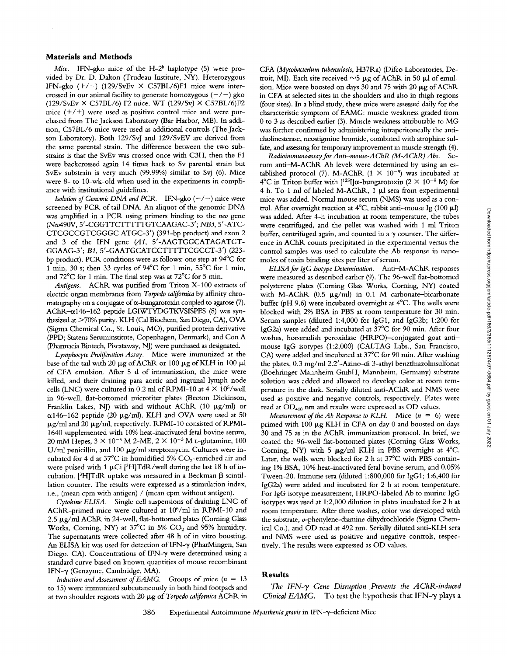#### **Materials and Methods**

*Mice.* IFN-gko mice of the H-2<sup>b</sup> haplotype (5) were provided by Dr. D. Dalton (Trudeau Institute, NY). Heterozygous IFN-gko  $(+/-)$  (129/SvEv  $\times$  C57BL/6)F1 mice were intercrossed in our animal facility to generate homozygous  $(-/-)$  gko  $(129/SvEv \times C57BL/6)$  F2 mice. WT  $(129/SvV \times C57BL/6)$ F2 mice  $(+/+)$  were used as positive control mice and were purchased from The Jackson Laboratory (Bar Harbor, ME). In addition, C57BL/6 mice were used as additional controls (The Jackson Laboratory). Both 129/SvJ and 129/SvEV are derived from the same parental strain. The difference between the two substrains is that the SvEv was crossed once with C3H, then the F1 were backcrossed again 14 times back to Sv parental strain but SvEv substrain is very much (99.99%) similar to Svj (6). Mice were 8- to 10-wk-old when used in the experiments in compliance with institutional guidelines.

*Isolation of Genomic DNA and PCR.* IFN-gko (-/-) mice were screened by PCK of tail DNA. An aliquot of the genomic DNA was amplified in a PCR using primers binding to the *neo* gene (Neo490V, 5'-CGGTTCTTTTTGTCAAGAC-3'; *NB3,* 5'-ATC-CTCGCCGTCGGGC ATGC-3') (391-bp product) and exon 2 and 3 of the IFN gene (A1, 5'-AAGTGGCATAGATGT-GGAAG-3'; *B1,* 5'-GAATGCATCCTTTTTCGCCT-3') (223 bp product). PCR conditions were as follows: one step at 94°C for 1 min, 30 s; then 33 cycles of 94°C for 1 min, 55°C for 1 min, and  $72^{\circ}$ C for 1 min. The final step was at  $72^{\circ}$ C for 5 min.

*Antigens.* AChR. was purified from Triton X-100 extracts of electric organ membranes from *Torpedo californica* by affinity chromatography on a conjugate of  $\alpha$ -bungarotoxin coupled to agarose (7). AChR-ed46-162 peptide LGIWTYDGTKVS1SPES (8) was synthesized at >70% purity. KLH (Cal Biochem, San Diego, CA), OVA (Sigma Chemical Co., St. Louis, MO), purified protein derivative (PPD; Statens Seruminstitute, Copenhagen, Denmark), and Con A (Pharmacia Biotech, Piscataway, NJ) were purchased as designated.

*Lymphocyte Proliferation Assay.* Mice were immunized at the base of the tail with 20  $\mu$ g of AChR or 100  $\mu$ g of KLH in 100  $\mu$ l of CFA emulsion. After 5 d of immunization, the mice were killed, and their draining para aortic and inguinal lymph node cells (LNC) were cultured in 0.2 ml of RPMI-10 at  $4 \times 10^5$ /well in 96-well, flat-bottomed microtiter plates (Becton Dickinson, Franklin Lakes, NJ) with and without AChR (10  $\mu$ g/ml) or  $\alpha$ 146-162 peptide (20 µg/ml). KLH and OVA were used at 50  $\mu$ g/ml and 20  $\mu$ g/ml, respectively. RPMI-10 consisted of RPMI-1640 supplemented with 10% heat-inactivated fetal bovine serum, 20 mM Hepes,  $3 \times 10^{-5}$  M 2-ME,  $2 \times 10^{-3}$  M *t*-glutamine, 100 U/ml penicillin, and 100  $\mu$ g/ml streptomycin. Cultures were incubated for 4 d at  $37^{\circ}$ C in humidified 5% CO<sub>2</sub>-enriched air and were pulsed with 1  $\mu$ Ci [<sup>3</sup>H]TdR/well during the last 18 h of incubation.  $[{}^{3}H]TdR$  uptake was measured in a Beckman  $\beta$  scintillation counter. The results were expressed as a stimulation index, i.e., (mean cpm with antigen) / (mean cpm without antigen).

*Cytokine ELISA.* Single cell suspensions of draining LNC of AChR-primed mice were cultured at 10<sup>6</sup>/ml in RPMI-10 and 2.5 µg/ml AChR in 24-well, flat-bottomed plates (Corning Glass Works, Coming, NY) at 37°C in 5% CO2 and 95% humidity. The supematants were collected after 48 h of in vitro boosting. An ELISA kit was used for detection of IFN-y (PharMingen, San Diego, CA). Concentrations of IFN- $\gamma$  were determined using a standard curve based on known quantities of mouse recombinant IFN- $\gamma$  (Genzyme, Cambridge, MA).

*Induction and Assessment of EAMG.* Groups of mice (n = 13 to 15) were immunized subcutaneously in both hind footpads and at two shoulder regions with 20  $\mu$ g of *Torpedo californica* AChR in CFA (Mycobacterium tuberculosis, H37Ra) (Difco Laboratories, Detroit, MI). Each site received  $\sim$ 5 µg of AChR in 50 µl of emulsion. Mice were boosted on days 30 and 75 with 20  $\mu$ g of AChR in CFA at selected sites in the shoulders and also in thigh regions (four sites). In a blind study, these mice were assessed daily for the characteristic symptom of EAMG: muscle weakness graded from 0 to 3 as described earlier (3). Muscle weakness attributable to MG was further confirmed by administering intraperitoneally the anticholinesterase, neostigmine bromide, combined with atrophine sulfate, and assessing for temporary improvement in muscle strength (4).

*Radioimmunoassay for Anti-mouse-A ChR (M-A ChR) Abs.* Serum anti-M-AChR Ab levels were determined by using an established protocol (7). M-AChR ( $1 \times 10^{-9}$ ) was incubated at 4°C in Triton buffer with  $[125]$ [ $\alpha$ -bungarotoxin (2 × 10<sup>-9</sup> M) for 4 h. To 1 ml of labeled M-AChR, 1 µl sera from experimental mice was added. Normal mouse serum (NMS) was used as a control. After overnight reaction at  $4^{\circ}$ C, rabbit anti-mouse Ig (100 µl) was added. After 4-h incubation at room temperature, the tubes were centrifuged, and the pellet was washed with 1 ml Triton buffer, centrifuged again, and counted in a  $\gamma$  counter. The difference in AChR counts precipitated in the experimental versus the control samples was used to calculate the Ab response in nanomoles of toxin binding sites per liter of serum.

*ELISA for IgG Isotype Determination.* Anti-M-AChR responses were measured as described earlier (9). The 96-well flat-bottomed polysterene plates (Coming Glass Works, Coming, NY) coated with M-AChR  $(0.5 \mu g/ml)$  in 0.1 M carbonate-bicarbonate buffer (pH 9.6) were incubated overnight at 4°C. The wells were blocked with 2% BSA in PBS at room temperature for 30 min. Serum samples (diluted 1:4,000 for IgG1, and IgG2b; 1:200 for IgG2a) were added and incubated at 37°C for 90 min. After four washes, horseradish peroxidase (HRPO)-conjugated goat antimouse IgG isotypes (1:2,000) (CALTAG Labs., San Francisco, CA) were added and incubated at  $37^{\circ}$ C for 90 min. After washing the plates, 0.3 mg/ml 2.2'-Azino-di 3-athyl benzthiazolinsulfonat (Boehringer Mannheim GmbH, Mannheim, Germany) substrate solution was added and allowed to develop color at room temperature in the dark. Serially diluted anti-AChR and NMS were used as positive and negative controls, respectively. Plates were read at OD<sub>410</sub> nm and results were expressed as OD values.

*Measurement of the Ab Response to KLH.* Mice  $(n = 6)$  were primed with 100  $\mu$ g KLH in CFA on day 0 and boosted on days 30 and 75 as in the AChR immunization protocol. In brief, we coated the 96-well flat-bottomed plates (Coming Glass Works, Corning, NY) with 5  $\mu$ g/ml KLH in PBS overnight at 4°C. Later, the wells were blocked for 2 h at 37°C with PBS containing 1% BSA, 10% heat-inactivated fetal bovine serum, and 0.05% Tween-20. Immune sera (diluted 1:800,000 for IgG1; 1:6,400 for IgG2a) were added and incubated for 2 h at room temperature. For IgG isotype measurement, HRPO-labeled Ab to murine IgG isotypes was used at 1:2,000 dilution in plates incubated for 2 h at room temperature. After three washes, color was developed with the substrate, 0-phenylene-diamine dihydrochloride (Sigma Chemical Co.), and OD read at 492 nm. Serially diluted anti-KLH sera and NMS were used as positive and negative controls, respectively. The results were expressed as OD values.

### **Results**

The IFN- $\gamma$  Gene Disruption Prevents the AChR-induced *Clinical EAMG*. To test the hypothesis that IFN- $\gamma$  plays a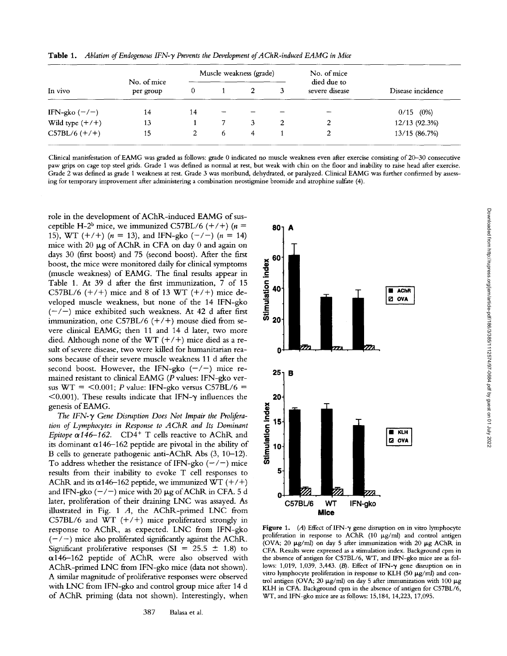| In vivo           | No. of mice<br>per group | Muscle weakness (grade) |              |  |  | No. of mice                   |                   |
|-------------------|--------------------------|-------------------------|--------------|--|--|-------------------------------|-------------------|
|                   |                          | 0                       |              |  |  | died due to<br>severe disease | Disease incidence |
| IFN-gko $(-/-)$   | 14                       | 14                      |              |  |  |                               | $0/15$ (0%)       |
| Wild type $(+/+)$ | 13                       |                         |              |  |  |                               | 12/13 (92.3%)     |
| $C57BL/6 (+/+)$   | 15                       |                         | <sub>b</sub> |  |  |                               | 13/15 (86.7%)     |

Table 1. *Ablation of Endogenous IFN-y Prevents the Development of AChR-induced EAMG in Mice* 

Clinical manisfestation of EAMG was graded as follows: grade 0 indicated no muscle weakness even after exercise consisting of 20-30 consecutive paw grips on cage top steel grids. Grade 1 was defined as normal at rest, but weak with chin on the floor and inability to raise head after exercise. Grade 2 was defined as grade 1 weakness at rest. Grade 3 was moribund, dehydrated, or paralyzed. Clinical EAMG was further confirmed by assessing for temporary improvement after administering a combination neostigmine bromide and atrophine sulfate (4).

role in the development of AChR-induced EAMG of susceptible H-2<sup>b</sup> mice, we immunized C57BL/6 (+/+) ( $n =$ 15), WT  $(+/+)$  ( $n = 13$ ), and IFN-gko  $(-/-)$  ( $n = 14$ ) mice with 20  $\mu$ g of AChR in CFA on day 0 and again on days 30 (first boost) and 75 (second boost). After the first boost, the mice were monitored daily for clinical symptoms (muscle weakness) of EAMG. The final results appear in Table 1. At 39 d after the first immunization, 7 of 15 C57BL/6  $(+/+)$  mice and 8 of 13 WT  $(+/+)$  mice developed muscle weakness, but none of the 14 IFN-gko  $(-/-)$  mice exhibited such weakness. At 42 d after first immunization, one C57BL/6  $(+/+)$  mouse died from severe clinical EAMG; then 11 and 14 d later, two more died. Although none of the WT  $(+/+)$  mice died as a result of severe disease, two were killed for humanitarian reasons because of their severe muscle weakness 11 d after the second boost. However, the IFN-gko  $(-/-)$  mice remained resistant to clinical EAMG (P values: IFN-gko versus WT =  $< 0.001$ ; P value: IFN-gko versus C57BL/6 =  $<$ 0.001). These results indicate that IFN- $\gamma$  influences the genesis of EAMG.

The IFN-y Gene Disruption Does Not Impair the Prolifera*tion of Lymphocytes in Response to AChR and Its Dominant Epitope*  $\alpha$ *146-162.* CD4<sup>+</sup> T cells reactive to AChR and its dominant  $\alpha$ 146-162 peptide are pivotal in the ability of B cells to generate pathogenic anti-AChR Abs (3, 10-12). To address whether the resistance of IFN-gko  $(-/-)$  mice results from their inability to evoke T cell responses to AChR and its  $\alpha$ 146-162 peptide, we immunized WT (+/+) and IFN-gko  $(-/-)$  mice with 20  $\mu$ g of AChR in CFA. 5 d later, proliferation of their draining LNC was assayed. As illustrated in Fig. 1 A, the AChR-primed LNC from C57BL/6 and WT  $(+/+)$  mice proliferated strongly in response to AChR, as expected. LNC from IFN-gko  $(-/-)$  mice also proliferated significantly against the AChR. Significant proliferative responses (SI = 25.5  $\pm$  1.8) to  $\alpha$ 146-162 peptide of AChR were also observed with AChR-primed LNC from IFN-gko mice (data not shown). A similar magnitude of proliferative responses were observed with LNC from IFN-gko and control group mice after 14 d of AChR priming (data not shown). Interestingly, when



Figure 1. (A) Effect of IFN- $\gamma$  gene disruption on in vitro lymphocyte proliferation in response to AChR (10  $\mu$ g/ml) and control antigen (OVA; 20  $\mu$ g/ml) on day 5 after immunization with 20  $\mu$ g AChR in CFA. Results were expressed as a stimulation index. Background cpm in the absence of antigen for C57BL/6, WT, and IFN-gko mice are as follows: 1,019, 1,039, 3,443. (B). Effect of IFN- $\gamma$  gene disruption on in vitro lymphocyte proliferation in response to KLH (50  $\mu$ g/ml) and control antigen (OVA; 20  $\mu$ g/ml) on day 5 after immunization with 100  $\mu$ g KLH in CFA. Background cpm in the absence of antigen for C57BL/6, WT, and IFN-gko mice are as follows: 15,184, 14,223, 17,095.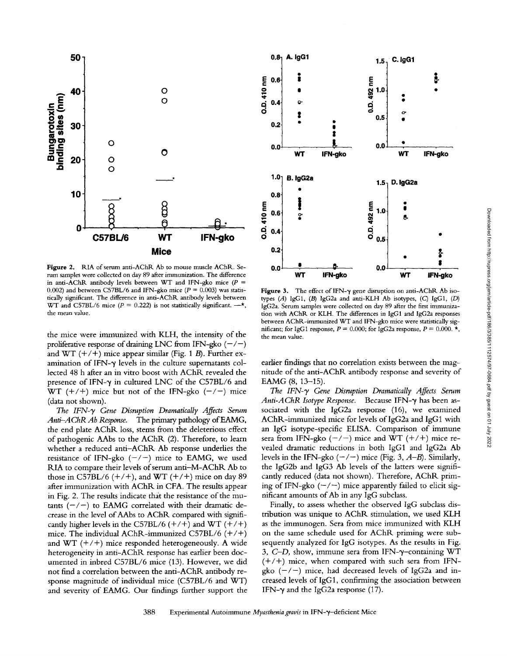

Figure 2. RIA of serum anti-AChR Ab to mouse muscle AChR. Serum samples were collected on day 89 after immunization. The difference in anti-AChR antibody levels between WT and IFN-gko mice ( $P =$ 0.002) and between C57BL/6 and IFN-gko mice ( $P = 0.003$ ) was statistically significant. The difference in anti-AChR antibody levels between WT and C57BL/6 mice ( $P = 0.222$ ) is not statistically significant.  $-\star$ , the mean value.

the mice were immunized with KLH, the intensity of the proliferative response of draining LNC from IFN-gko  $(-/-)$ and WT  $(+/+)$  mice appear similar (Fig. 1 B). Further examination of IFN- $\gamma$  levels in the culture supernatants collected 48 h after an in vitro boost with AChR revealed the presence of IFN- $\gamma$  in cultured LNC of the C57BL/6 and WT  $(+/+)$  mice but not of the IFN-gko  $(-/-)$  mice (data not shown).

The IFN- $\gamma$  Gene Disruption Dramatically Affects Serum *Anti--AChR Ab Response.* The primary pathology of EAMG, the end plate AChR loss, stems from the deleterious effect of pathogenic AAbs to the AChR (2). Therefore, to learn whether a reduced anti-AChR Ab response underlies the resistance of IFN-gko  $(-/-)$  mice to EAMG, we used RIA to compare their levels of serum anti-M-AChR Ab to those in C57BL/6  $(+/+)$ , and WT  $(+/+)$  mice on day 89 after immunization with AChR in CFA. The results appear in Fig. 2. The results indicate that the resistance of the mutants  $(-/-)$  to EAMG correlated with their dramatic decrease in the level of AAbs to ACbR compared with significantly higher levels in the C57BL/6  $(+/+)$  and WT  $(+/+)$ mice. The individual AChR-immunized C57BL/6  $(+/+)$ and  $WT (+/+)$  mice responded heterogeneously. A wide heterogeneity in anti-AChR response has earlier been documented in inbred C57BL/6 mice (13). However, we did not find a correlation between the anti-AChR antibody response magnitude of individual mice (C57BL/6 and WT) and severity of EAMG. Our findings further support the



Figure 3. The effect of IFN-y gene disruption on anti-AChR Ab isotypes  $(A)$  IgG1,  $(B)$  IgG2a and anti-KLH Ab isotypes,  $(C)$  IgG1,  $(D)$ IgG2a. Serum samples were collected on day 89 after the first immunization with AChR or KLH. The differences in IgG1 and IgG2a responses between ACbR-immunized WT and IFN-gko mice were statistically significant; for IgG1 response,  $P = 0.000$ ; for IgG2a response,  $P = 0.000$ . \*, the mean value.

earlier findings that no correlation exists between the magnitude of the anti-AChR antibody response and severity of EAMG (8, 13-15).

The IFN- $\gamma$  Gene Disruption Dramatically Affects Serum *Anti-AChR Isotype Response.* Because IFN-y has been associated with the IgG2a response (16), we examined AChR-immunized mice for levels of IgG2a and IgG1 with an IgG isotype-specific ELISA. Comparison of immune sera from IFN-gko  $(-/-)$  mice and WT  $(+/+)$  mice revealed dramatic reductions in both IgG1 and IgG2a Ab levels in the IFN-gko  $(-/-)$  mice (Fig. 3,  $A-B$ ). Similarly, the IgG2b and IgG3 Ab levels of the latters were significantly reduced (data not shown). Therefore, AChR priming of IFN-gko  $(-/-)$  mice apparently failed to elicit significant amounts of Ab in any IgG subclass.

Finally, to assess whether the observed IgG subclass distribution was unique to *AChR* stimulation, we used KLH as the immunogen. Sera from mice immunized with KLH on the same schedule used for AChR priming were subsequently analyzed for IgG isotypes. As the results in Fig. *3, C-D,* show, immune sera from IFN-y-containing WT  $(+/+)$  mice, when compared with such sera from IFNgko  $(-/-)$  mice, had decreased levels of IgG2a and increased levels of IgG1, confirming the association between IFN- $\gamma$  and the IgG2a response (17).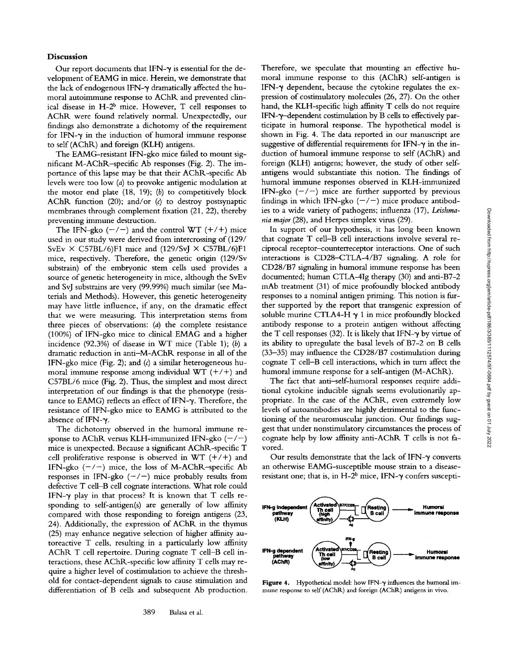Our report documents that IFN- $\gamma$  is essential for the development of EAMG in mice. Herein, we demonstrate that the lack of endogenous IFN- $\gamma$  dramatically affected the humoral autoimmune response to AChR and prevented clinical disease in  $H-2^b$  mice. However, T cell responses to AChR were found relatively normal. Unexpectedly, our findings also demonstrate a dichotomy of the requirement for IFN- $\gamma$  in the induction of humoral immune response to self (AChP,) and foreign (KLH) antigens.

The EAMG-resistant IFN-gko mice failed to mount significant M-AChR-specific Ab responses (Fig. 2). The importance of this lapse may be that their AChR-specific Ab levels were too low (a) to provoke antigenic modulation at the motor end plate  $(18, 19)$ ;  $(b)$  to competitively block AChR function (20); and/or (c) to destroy postsynaptic membranes through complement fixation (21, 22), thereby preventing immune destruction.

The IFN-gko  $(-/-)$  and the control WT  $(+/+)$  mice used in our study were derived from intercrossing of (129/ SvEv  $\times$  C57BL/6)F1 mice and (129/SvJ  $\times$  C57BL/6)F1 mice, respectively. Therefore, the genetic origin (129/Sv substrain) of the embryonic stem cells used provides a source of genetic heterogeneity in mice, although the SvEv and SvJ substrains are very (99.99%) much similar (see Materials and Methods). However, this genetic heterogeneity may have little influence, if any, on the dramatic effect that we were measuring. This interpretation stems from three pieces of observations: (a) the complete resistance (100%) of IFN-gko mice to chnical EMAG and a higher incidence  $(92.3\%)$  of disease in WT mice (Table 1); (b) a dramatic reduction in anti-M-AChR response in all of the IFN-gko mice (Fig. 2); and (c) a similar heterogeneous humoral immune response among individual WT  $(+/+)$  and C57BL/6 mice (Fig. 2). Thus, the simplest and most direct interpretation of our findings is that the phenotype (resistance to EAMG) reflects an effect of IFN- $\gamma$ . Therefore, the resistance of IFN-gko mice to EAMG is attributed to the absence of IFN- $\gamma$ .

The dichotomy observed in the humoral immune response to AChR versus KLH-immunized IFN-gko  $(-/-)$ mice is unexpected. Because a significant AChR-specific T cell proliferative response is observed in WT  $(+/+)$  and IFN-gko  $(-/-)$  mice, the loss of M-AChR-specific Ab responses in IFN-gko  $(-/-)$  mice probably results from defective T cetl-B cell cognate interactions. What role could IFN- $\gamma$  play in that process? It is known that T cells responding to self-antigen(s) are generally of low affinity compared with those responding to foreign antigens (23, 24). Additionally, the expression of AChR in the thymus (25) may enhance negative selection of higher affinity autoreactive T cells, resulting in a particularly low affinity AChR T cell repertoire. During cognate T cell-B cell interactions, these  $AChR$ -specific low affinity  $T$  cells may require a higher level of costimulation to achieve the threshold for contact-dependent signals to cause stimulation and differentiation of B cells and subsequent Ab production.

Therefore, we speculate that mounting an effective humoral immune response to this (AChR) self-antigen is IFN- $\gamma$  dependent, because the cytokine regulates the expression of costimulatory molecules (26, 27). On the other hand, the KLH-specific high affinity T cells do not require IFN-3~-dependent costimulation by B cells to effectively participate in humoral response, The hypothetical model is shown in Fig. 4. The data reported in our manuscript are suggestive of differential requirements for IFN- $\gamma$  in the induction of humoral immune response to self (AChR) and foreign (KLH) antigens; however, the study of other selfantigens would substantiate this notion. The findings of humoral immune responses observed in KLH-immunized IFN-gko  $(-/-)$  mice are further supported by previous findings in which IFN-gko  $(-/-)$  mice produce antibodies to a wide variety of pathogens; influenza (17), *Leishmania major* (28), and Herpes simplex virus (29).

In support of our hypothesis, it has long been known that cognate T cell-B cell interactions involve several reciprocal receptor-counterreceptor interactions. One of such interactions is CD28-CTLA-4/B7 signaling. A role for CD28/B7 signaling in humoral immune response has been documented; human CTLA-4Ig therapy (30) and anti-B7-2 mAb treatment (31) of mice profoundly blocked antibody responses to a nominal antigen priming. This notion is further supported by the report that transgenic expression of soluble murine CTLA4-H  $\gamma$  1 in mice profoundly blocked antibody response to a protein antigen without affecting the T cell responses (32). It is likely that IFN- $\gamma$  by virtue of its abihty to upregulate the basal levels of B7-2 on B cells (33-35) may influence the CD28/B7 costimulation during cognate T cell-B cell interactions, which in turn affect the humoral immune response for a self-antigen (M-AChR).

The fact that anti-self-humoral responses require additional cytokine inducible signals seems evolutionarily appropriate. In the case of the AChR, even extremely low levels of autoantibodies are highly detrimental to the functioning of the neuromuscular junction. Our findings suggest that under nonstimulatory circumstances the process of cognate help by low affinity anti-AChR T cells is not favored.

Our results demonstrate that the lack of IFN- $\gamma$  converts an otherwise EAMG-susceptible mouse strain to a diseaseresistant one; that is, in  $H-2^b$  mice, IFN- $\gamma$  confers suscepti-



Figure 4. Hypothetical model: how IFN- $\gamma$  influences the humoral immune response to self (AChR) and foreign (AChR) antigens in vivo.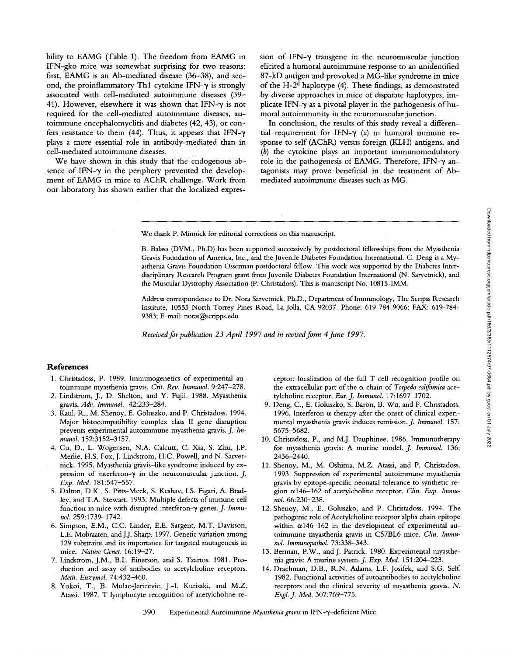bility to EAMG (Table 1). The freedom from EAMG in IFN-gko mice was somewhat surprising for two reasons: first, EAMG is an Ab-mediated disease (36-38), and second, the proinflammatory Th1 cytokine IFN- $\gamma$  is strongly associated with cell-mediated autoimmune diseases (39- 41). However, elsewhere it was shown that IFN- $\gamma$  is not required for the cell-mediated autoimmune diseases, autoimmune encephalomyehtis and diabetes (42, 43), or confers resistance to them (44). Thus, it appears that IFN- $\gamma$ plays a more essential role in antibody-mediated than in cell-mediated autoimmune diseases. We have shown in this study that the endogenous ab-

sence of IFN- $\gamma$  in the periphery prevented the development of EAMG in mice to AChR challenge. Work from our laboratory has shown earlier that the localized expression of IFN- $\gamma$  transgene in the neuromuscular junction elicited a humoral autoimmune response to an unidentified 87-kD antigen and provoked a MG-like syndrome in mice of the H- $2<sup>d</sup>$  haplotype (4). These findings, as demonstrated by diverse approaches in mice of disparate haplotypes, implicate IFN- $\gamma$  as a pivotal player in the pathogenesis of humoral autoimmunity in the neuromuscular junction.

In conclusion, the results of this study reveal a differential requirement for IFN- $\gamma$  (a) in humoral immune response to self (AChR) versus foreign (KLH) antigens, and (b) the cytokine plays an important immunomodulatory role in the pathogenesis of EAMG. Therefore, IFN- $\gamma$  antagonists may prove beneficial in the treatment of Abmediated autoimmune diseases such as MG.

We thank P. Minnick for editorial corrections on this manuscript,

B. Balasa (DVM., Ph.D) has been supported successively by postdoctoral fellowships from the Myasthenia Gravis Foundation of America, Inc., and the Juvenile Diabetes Foundation International. C. Deng is a Myasthenia Gravis Foundation Osserman postdoctoral fellow. This work was supported by the Diabetes Interdisciplinary Research Program grant from Juvenile Diabetes Foundation International (N. Sarvetnick), and the Muscular Dystrophy Association (P. Christadoss). This is manuscript No. 10815-IMM.

Address correspondence to Dr. Nora Sarvetnick, Ph.D., Department of Immunology, The Scripss Research Institute, 10555 North Torrey Pines Road, La Jolla, CA 92037. Phone: 619-784-9066; FAX: 619-784- 9383; E-mail: noras@scripps.edu

Received for publication 23 April 1997 and in revised form 4 June 1997.

## **References**

- 1. Christadoss, P. 1989. Immunogenetics of experimental autoimmune myasthenia gravis. *Crit. Rev. lmmunol.* 9:247-278.
- 2. Lindstrom, J., D. Shelton, and Y. Fujii. 1988. Myasthenia gravis. *Adv. Immunol.* 42:233-284.
- 3. Kaul, R., M. Shenoy, E. Goluszko, and P. Christadoss. 1994. Major histocompatibility complex class II gene disruption prevents experimental autoimmune myasthenia gravis. *J. Immunol.* 152:3152-3157.
- 4. Gu, D., L. Wogensen, N.A. Calcutt, C. Xia, S. Zhu, J.P. Merlie, H.S. Fox, J. Lindstrom, H.C. Powell, and N. Sarvetnick. 1995. Myasthenia gravis-like syndrome induced by expression of interferon- $\gamma$  in the neuromuscular junction. J. *Exp. Med.* 181:547-557.
- 5. Dalton, D.K., S. Pitts-Meek, S. Keshav, I.S. Figari, A. Bradley, and T.A. Stewart. 1993. Multiple defects of immune cell function in mice with disrupted interferon- $\gamma$  genes. *J. Immunol.* 259:1739-1742.
- 6. Simpson, E.M., *C.C.* Linder, E.E. Sargent, M.T. Davisson, L.E. Mobraaten, and J.J. Sharp. 1997. Genetic variation among 129 substrains and its importance for targeted mutagenesis in mice. *Nature Genet.* 16:19-27.
- 7. Lindstrom, J.M., B.L. Einerson, and S. Tzartos. 1981. Production and assay of antibodies to acetylcholine receptors. *Meth. Enzymol.* 74:432-460.
- 8. Yokoi, T., B. Mulac-Jericevic, J.-I. Kurisaki, and M.Z. Atassi. 1987. T lymphocyte recognition of acetylcholine re-

ceptor: localization of the full T cell recognition profile on the extracellular part of the  $\alpha$  chain of *Torpedo californica* acetylchohne receptor. *Eur.J. Immunol.* 17:1697-1702.

- 9. Deng, C., E. Goluszko, S. Baron, B. Wu, and P. Christadoss. 1996. Interferon  $\alpha$  therapy after the onset of clinical experimental myasthenia gravis induces remission. *J. Immunol.* 157: 5675-5682.
- 10. Christadoss, P., and M.J. Dauphinee. 1986. Immunotherapy for myasthenia gravis: A murine model. *J. Immunol.* 136: 2436-2440.
- 11. Shenoy, M., M. Oshima, M.Z. Atassi, and P. Christadoss. 1993. Suppression of experimental autoimmune myasthenia gravis by epitope-specific neonatal tolerance to synthetic region a146-162 of acetylcholine receptor. *Clin. Exp. Immunol.* 66:230-238.
- 12. Shenoy, M., E. Goluszko, and P. Christadoss. 1994. The pathogenic role of Acetylcholine receptor alpha chain epitope within  $\alpha$ 146-162 in the development of experimental autoimmune myasthenia gravis in C57BL6 mice. *Clin. Immunol. Immunopathol.* 73:338-343.
- 13. Berman, P.W., and J. Patrick. 1980. Experimental myasthenia gravis: A murine system.J. *Exp. Med.* 151:204-223.
- 14. Drachman, D.B., R..N. Adams, L.F. Josifek, and S.G. Self. 1982. Functional activities of autoantibodies to acetylcholine receptors and the clinical severity of myasthenia gravis. N. *Engl.J. Med.* 307:769-775.